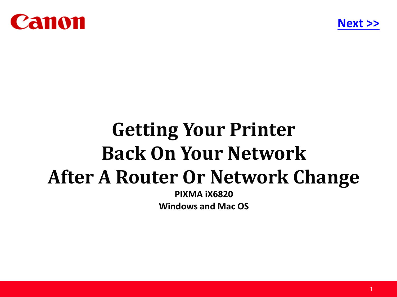<span id="page-0-0"></span>



# **Getting Your Printer Back On Your Network After A Router Or Network Change**

**PIXMA iX6820 Windows and Mac OS**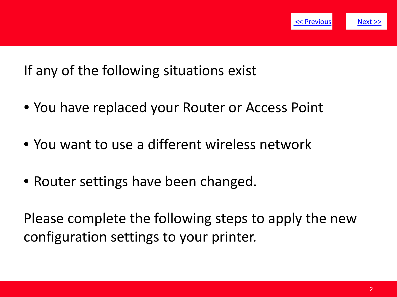

<span id="page-1-0"></span>If any of the following situations exist

- You have replaced your Router or Access Point
- You want to use a different wireless network
- Router settings have been changed.

Please complete the following steps to apply the new configuration settings to your printer.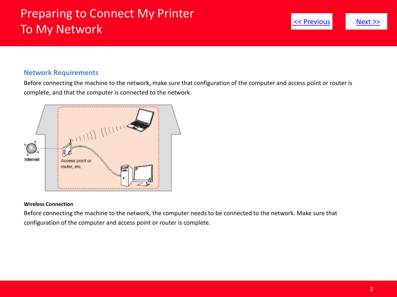# <span id="page-2-0"></span>Preparing to Connect My Printer To My Network

# [<< Previous](#page-1-0) [Next >>](#page-3-0)

#### **Network Requirements**

Before connecting the machine to the network, make sure that configuration of the computer and access point or router is complete, and that the computer is connected to the network.



#### **Wireless Connection**

Before connecting the machine to the network, the computer needs to be connected to the network. Make sure that configuration of the computer and access point or router is complete.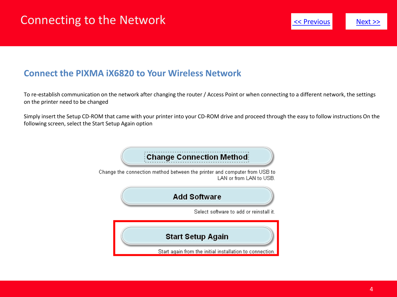#### <span id="page-3-0"></span>**Connect the PIXMA iX6820 to Your Wireless Network**

To re-establish communication on the network after changing the router / Access Point or when connecting to a different network, the settings on the printer need to be changed

Simply insert the Setup CD-ROM that came with your printer into your CD-ROM drive and proceed through the easy to follow instructions On the following screen, select the Start Setup Again option

#### **Change Connection Method:**

Change the connection method between the printer and computer from USB to LAN or from LAN to USB.

#### **Add Software**

Select software to add or reinstall it.

#### **Start Setup Again**

Start again from the initial installation to connection.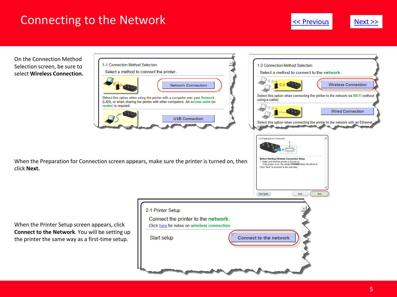### <span id="page-4-0"></span>Connecting to the Network

[<< Previous](#page-3-0)



On the Connection Method Selection screen, be sure to select **Wireless Connection.**



2-1 Printer Setup

Start setup

Connect the printer to the network. Click here for notes on wireless connection



When the Preparation for Connection screen appears, make sure the printer is turned on, then click **Next.**

When the Printer Setup screen appears, click **Connect to the Network**. You will be setting up the printer the same way as a first-time setup.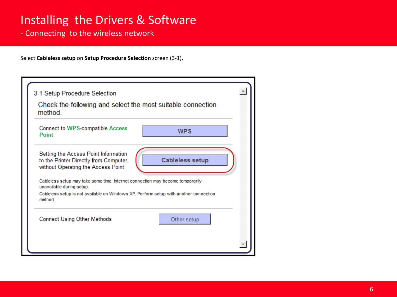## <span id="page-5-0"></span>Installing the Drivers & Software

- Connecting to the wireless network

Select **Cableless setup** on **Setup Procedure Selection** screen (3-1).

| Check the following and select the most suitable connection<br>method.                                                                                                                                         |  |                        |  |
|----------------------------------------------------------------------------------------------------------------------------------------------------------------------------------------------------------------|--|------------------------|--|
| <b>Connect to WPS-compatible Access</b><br>Point                                                                                                                                                               |  | <b>WPS</b>             |  |
| Setting the Access Point Information<br>to the Printer Directly from Computer,<br>without Operating the Access Point                                                                                           |  | <b>Cableless setup</b> |  |
| Cableless setup may take some time. Internet connection may become temporarily<br>unavailable during setup.<br>Cableless setup is not available on Windows XP. Perform setup with another connection<br>method |  |                        |  |
| <b>Connect Using Other Methods</b>                                                                                                                                                                             |  | Other setup            |  |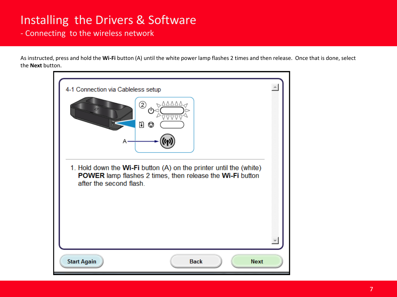# Installing the Drivers & Software

- Connecting to the wireless network

As instructed, press and hold the **Wi-Fi** button (A) until the white power lamp flashes 2 times and then release. Once that is done, select the **Next** button.